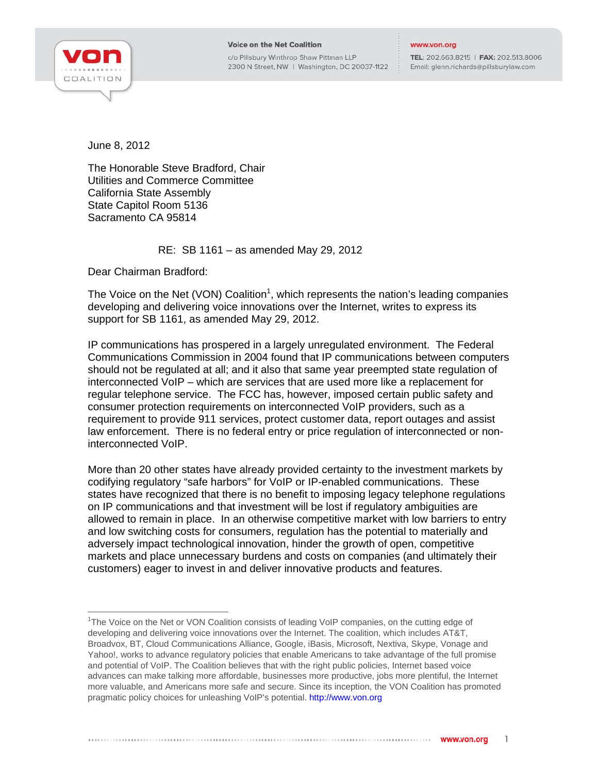

j

c/o Pillsbury Winthrop Shaw Pittman LLP 2300 N Street, NW | Washington, DC 20037-1122

## www.von.org

TEL: 202.663.8215 | FAX: 202.513.8006 Email: glenn.richards@pillsburylaw.com

June 8, 2012

The Honorable Steve Bradford, Chair Utilities and Commerce Committee California State Assembly State Capitol Room 5136 Sacramento CA 95814

## RE: SB 1161 – as amended May 29, 2012

Dear Chairman Bradford:

The Voice on the Net (VON) Coalition<sup>1</sup>, which represents the nation's leading companies developing and delivering voice innovations over the Internet, writes to express its support for SB 1161, as amended May 29, 2012.

IP communications has prospered in a largely unregulated environment. The Federal Communications Commission in 2004 found that IP communications between computers should not be regulated at all; and it also that same year preempted state regulation of interconnected VoIP – which are services that are used more like a replacement for regular telephone service. The FCC has, however, imposed certain public safety and consumer protection requirements on interconnected VoIP providers, such as a requirement to provide 911 services, protect customer data, report outages and assist law enforcement. There is no federal entry or price regulation of interconnected or noninterconnected VoIP.

More than 20 other states have already provided certainty to the investment markets by codifying regulatory "safe harbors" for VoIP or IP-enabled communications. These states have recognized that there is no benefit to imposing legacy telephone regulations on IP communications and that investment will be lost if regulatory ambiguities are allowed to remain in place. In an otherwise competitive market with low barriers to entry and low switching costs for consumers, regulation has the potential to materially and adversely impact technological innovation, hinder the growth of open, competitive markets and place unnecessary burdens and costs on companies (and ultimately their customers) eager to invest in and deliver innovative products and features.

<sup>&</sup>lt;sup>1</sup>The Voice on the Net or VON Coalition consists of leading VoIP companies, on the cutting edge of developing and delivering voice innovations over the Internet. The coalition, which includes AT&T, Broadvox, BT, Cloud Communications Alliance, Google, iBasis, Microsoft, Nextiva, Skype, Vonage and Yahoo!, works to advance regulatory policies that enable Americans to take advantage of the full promise and potential of VoIP. The Coalition believes that with the right public policies, Internet based voice advances can make talking more affordable, businesses more productive, jobs more plentiful, the Internet more valuable, and Americans more safe and secure. Since its inception, the VON Coalition has promoted pragmatic policy choices for unleashing VoIP's potential. http://www.von.org